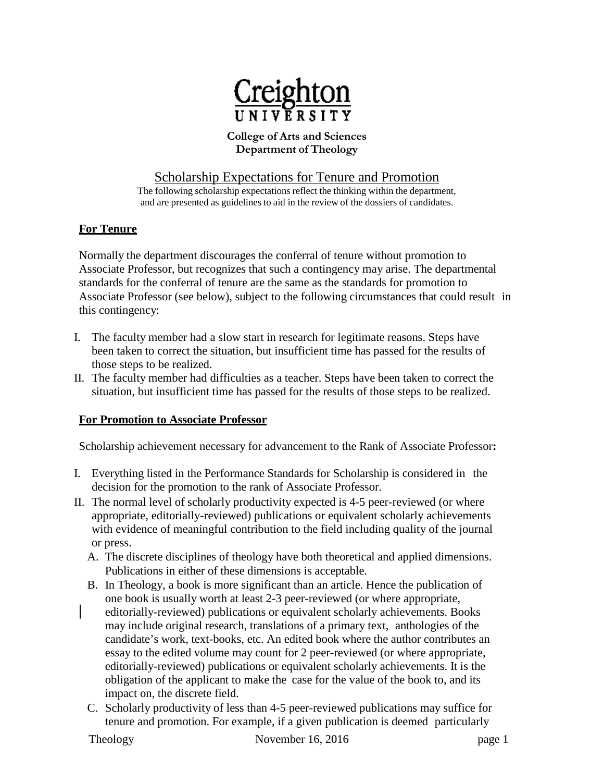

#### **College of Arts and Sciences Department of Theology**

# Scholarship Expectations for Tenure and Promotion

The following scholarship expectations reflect the thinking within the department, and are presented as guidelines to aid in the review of the dossiers of candidates.

## **For Tenure**

Normally the department discourages the conferral of tenure without promotion to Associate Professor, but recognizes that such a contingency may arise. The departmental standards for the conferral of tenure are the same as the standards for promotion to Associate Professor (see below), subject to the following circumstances that could result in this contingency:

- I. The faculty member had a slow start in research for legitimate reasons. Steps have been taken to correct the situation, but insufficient time has passed for the results of those steps to be realized.
- II. The faculty member had difficulties as a teacher. Steps have been taken to correct the situation, but insufficient time has passed for the results of those steps to be realized.

#### **For Promotion to Associate Professor**

Scholarship achievement necessary for advancement to the Rank of Associate Professor**:**

- I. Everything listed in the Performance Standards for Scholarship is considered in the decision for the promotion to the rank of Associate Professor.
- II. The normal level of scholarly productivity expected is 4-5 peer-reviewed (or where appropriate, editorially-reviewed) publications or equivalent scholarly achievements with evidence of meaningful contribution to the field including quality of the journal or press.
	- A. The discrete disciplines of theology have both theoretical and applied dimensions. Publications in either of these dimensions is acceptable.
	- B. In Theology, a book is more significant than an article. Hence the publication of one book is usually worth at least 2-3 peer-reviewed (or where appropriate, editorially-reviewed) publications or equivalent scholarly achievements. Books may include original research, translations of a primary text, anthologies of the candidate's work, text-books, etc. An edited book where the author contributes an essay to the edited volume may count for 2 peer-reviewed (or where appropriate, editorially-reviewed) publications or equivalent scholarly achievements. It is the obligation of the applicant to make the case for the value of the book to, and its impact on, the discrete field.
	- C. Scholarly productivity of less than 4-5 peer-reviewed publications may suffice for tenure and promotion. For example, if a given publication is deemed particularly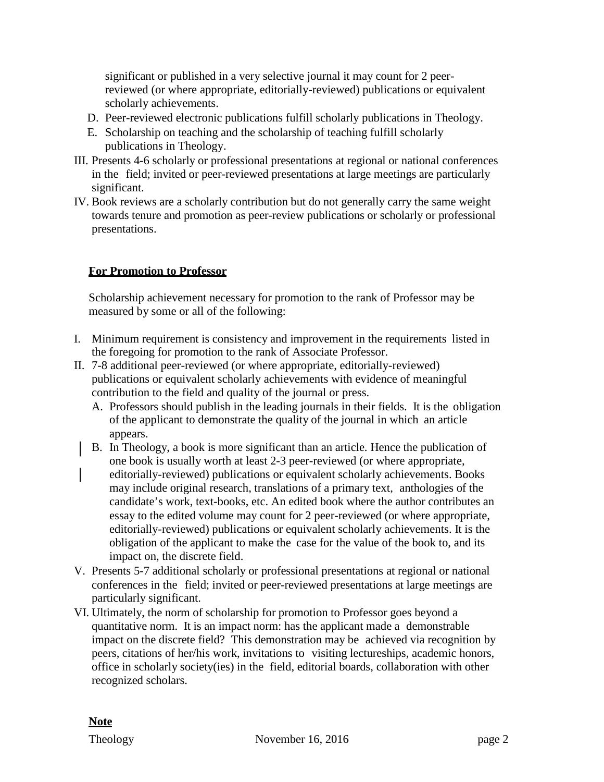significant or published in a very selective journal it may count for 2 peerreviewed (or where appropriate, editorially-reviewed) publications or equivalent scholarly achievements.

- D. Peer-reviewed electronic publications fulfill scholarly publications in Theology.
- E. Scholarship on teaching and the scholarship of teaching fulfill scholarly publications in Theology.
- III. Presents 4-6 scholarly or professional presentations at regional or national conferences in the field; invited or peer-reviewed presentations at large meetings are particularly significant.
- IV. Book reviews are a scholarly contribution but do not generally carry the same weight towards tenure and promotion as peer-review publications or scholarly or professional presentations.

## **For Promotion to Professor**

Scholarship achievement necessary for promotion to the rank of Professor may be measured by some or all of the following:

- I. Minimum requirement is consistency and improvement in the requirements listed in the foregoing for promotion to the rank of Associate Professor.
- II. 7-8 additional peer-reviewed (or where appropriate, editorially-reviewed) publications or equivalent scholarly achievements with evidence of meaningful contribution to the field and quality of the journal or press.
	- A. Professors should publish in the leading journals in their fields. It is the obligation of the applicant to demonstrate the quality of the journal in which an article appears.
	- B. In Theology, a book is more significant than an article. Hence the publication of one book is usually worth at least 2-3 peer-reviewed (or where appropriate, editorially-reviewed) publications or equivalent scholarly achievements. Books may include original research, translations of a primary text, anthologies of the candidate's work, text-books, etc. An edited book where the author contributes an essay to the edited volume may count for 2 peer-reviewed (or where appropriate, editorially-reviewed) publications or equivalent scholarly achievements. It is the obligation of the applicant to make the case for the value of the book to, and its impact on, the discrete field.
- V. Presents 5-7 additional scholarly or professional presentations at regional or national conferences in the field; invited or peer-reviewed presentations at large meetings are particularly significant.
- VI. Ultimately, the norm of scholarship for promotion to Professor goes beyond a quantitative norm. It is an impact norm: has the applicant made a demonstrable impact on the discrete field? This demonstration may be achieved via recognition by peers, citations of her/his work, invitations to visiting lectureships, academic honors, office in scholarly society(ies) in the field, editorial boards, collaboration with other recognized scholars.